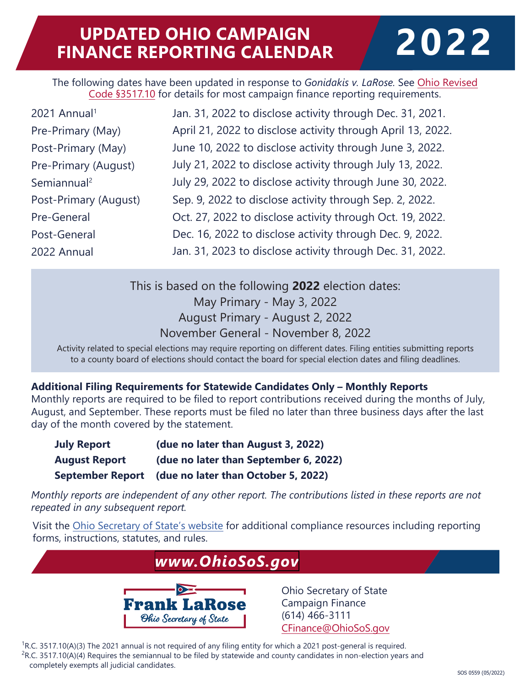# **UPDATED OHIO CAMPAIGN FINANCE REPORTING CALENDAR 2022**

The following dates have been updated in response to *Gonidakis v. LaRose.* See Ohio Revised Code §3517.10 [for details for most campaign finance reporting requirements.](https://codes.ohio.gov/ohio-revised-code/section-3517.10)

| 2021 Annual <sup>1</sup> | Jan. 31, 2022 to disclose activity through Dec. 31, 2021.   |
|--------------------------|-------------------------------------------------------------|
| Pre-Primary (May)        | April 21, 2022 to disclose activity through April 13, 2022. |
| Post-Primary (May)       | June 10, 2022 to disclose activity through June 3, 2022.    |
| Pre-Primary (August)     | July 21, 2022 to disclose activity through July 13, 2022.   |
| Semiannual <sup>2</sup>  | July 29, 2022 to disclose activity through June 30, 2022.   |
| Post-Primary (August)    | Sep. 9, 2022 to disclose activity through Sep. 2, 2022.     |
| Pre-General              | Oct. 27, 2022 to disclose activity through Oct. 19, 2022.   |
| Post-General             | Dec. 16, 2022 to disclose activity through Dec. 9, 2022.    |
| 2022 Annual              | Jan. 31, 2023 to disclose activity through Dec. 31, 2022.   |

This is based on the following **2022** election dates: May Primary - May 3, 2022 August Primary - August 2, 2022 November General - November 8, 2022

Activity related to special elections may require reporting on different dates. Filing entities submitting reports to a county board of elections should contact the board for special election dates and filing deadlines.

#### **Additional Filing Requirements for Statewide Candidates Only – Monthly Reports**

Monthly reports are required to be filed to report contributions received during the months of July, August, and September. These reports must be filed no later than three business days after the last day of the month covered by the statement.

| <b>July Report</b>   | (due no later than August 3, 2022)                   |
|----------------------|------------------------------------------------------|
| <b>August Report</b> | (due no later than September 6, 2022)                |
|                      | September Report (due no later than October 5, 2022) |

*Monthly reports are independent of any other report. The contributions listed in these reports are not repeated in any subsequent report.*

Visit the Ohio Secretary of State's website for additional compliance resources including reporting forms, instructions, statutes, and rules.

### *[www.OhioSoS.gov](https://www.ohiosos.gov/)* Ohio Secretary of State **Frank LaRose** Campaign Finance (614) 466-3111 Ohio Secretary of State CFinance@OhioSoS.gov

 $1R.C. 3517.10(A)(3)$  The 2021 annual is not required of any filing entity for which a 2021 post-general is required.  ${}^{2}R$ .C. 3517.10(A)(4) Requires the semiannual to be filed by statewide and county candidates in non-election years and completely exempts all judicial candidates.